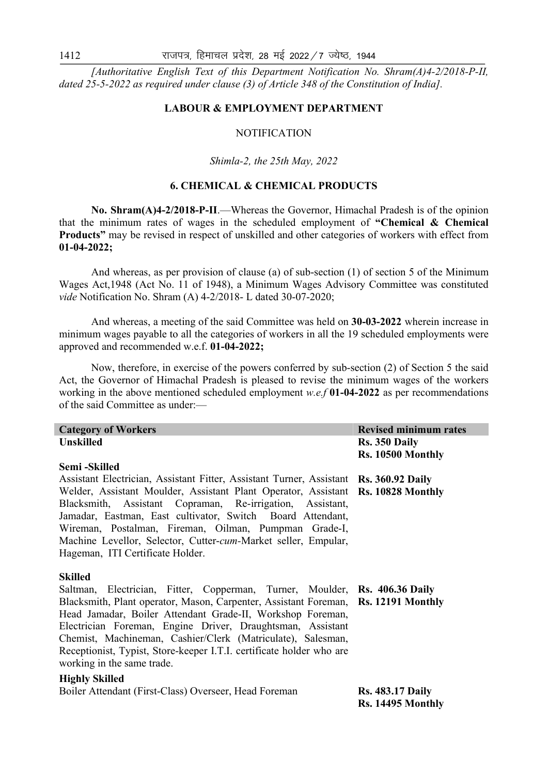*[Authoritative English Text of this Department Notification No. Shram(A)4-2/2018-P-II, dated 25-5-2022 as required under clause (3) of Article 348 of the Constitution of India].* 

## **LABOUR & EMPLOYMENT DEPARTMENT**

#### **NOTIFICATION**

#### *Shimla-2, the 25th May, 2022*

# **6. CHEMICAL & CHEMICAL PRODUCTS**

 **No. Shram(A)4-2/2018-P-II**.—Whereas the Governor, Himachal Pradesh is of the opinion that the minimum rates of wages in the scheduled employment of **"Chemical & Chemical Products"** may be revised in respect of unskilled and other categories of workers with effect from **01-04-2022;** 

 And whereas, as per provision of clause (a) of sub-section (1) of section 5 of the Minimum Wages Act,1948 (Act No. 11 of 1948), a Minimum Wages Advisory Committee was constituted *vide* Notification No. Shram (A) 4-2/2018- L dated 30-07-2020;

 And whereas, a meeting of the said Committee was held on **30-03-2022** wherein increase in minimum wages payable to all the categories of workers in all the 19 scheduled employments were approved and recommended w.e.f. **01-04-2022;**

 Now, therefore, in exercise of the powers conferred by sub-section (2) of Section 5 the said Act, the Governor of Himachal Pradesh is pleased to revise the minimum wages of the workers working in the above mentioned scheduled employment *w.e.f* **01-04-2022** as per recommendations of the said Committee as under:—

| <b>Category of Workers</b>                                                            | <b>Revised minimum rates</b> |
|---------------------------------------------------------------------------------------|------------------------------|
| <b>Unskilled</b>                                                                      | Rs. 350 Daily                |
|                                                                                       | Rs. 10500 Monthly            |
| Semi-Skilled                                                                          |                              |
| Assistant Electrician, Assistant Fitter, Assistant Turner, Assistant Rs. 360.92 Daily |                              |
| Welder, Assistant Moulder, Assistant Plant Operator, Assistant Rs. 10828 Monthly      |                              |
| Blacksmith, Assistant Copraman, Re-irrigation, Assistant,                             |                              |
| Jamadar, Eastman, East cultivator, Switch Board Attendant,                            |                              |
| Wireman, Postalman, Fireman, Oilman, Pumpman Grade-I,                                 |                              |
| Machine Levellor, Selector, Cutter-cum-Market seller, Empular,                        |                              |
| Hageman, ITI Certificate Holder.                                                      |                              |
|                                                                                       |                              |
| <b>Skilled</b>                                                                        |                              |
| Saltman, Electrician, Fitter, Copperman, Turner, Moulder, Rs. 406.36 Daily            |                              |
| Blacksmith, Plant operator, Mason, Carpenter, Assistant Foreman, Rs. 12191 Monthly    |                              |
| Head Jamadar, Boiler Attendant Grade-II, Workshop Foreman,                            |                              |
| Electrician Foreman, Engine Driver, Draughtsman, Assistant                            |                              |
| Chemist, Machineman, Cashier/Clerk (Matriculate), Salesman,                           |                              |
| Receptionist, Typist, Store-keeper I.T.I. certificate holder who are                  |                              |
| working in the same trade.                                                            |                              |
| <b>Highly Skilled</b>                                                                 |                              |
| Boiler Attendant (First-Class) Overseer, Head Foreman                                 | <b>Rs. 483.17 Daily</b>      |
|                                                                                       | Rs. 14495 Monthly            |